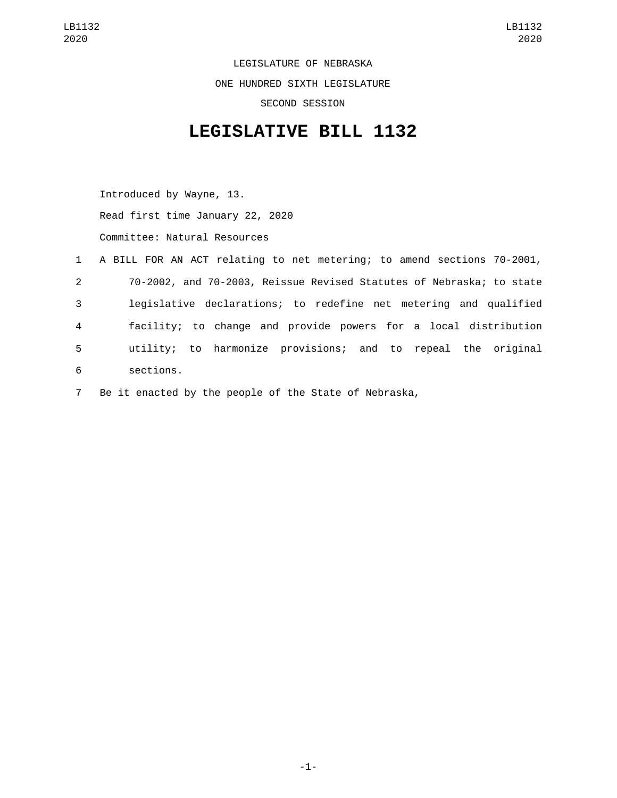LEGISLATURE OF NEBRASKA ONE HUNDRED SIXTH LEGISLATURE SECOND SESSION

## **LEGISLATIVE BILL 1132**

Introduced by Wayne, 13. Read first time January 22, 2020 Committee: Natural Resources

|             | 1 A BILL FOR AN ACT relating to net metering; to amend sections 70-2001, |
|-------------|--------------------------------------------------------------------------|
| $2^{\circ}$ | 70-2002, and 70-2003, Reissue Revised Statutes of Nebraska; to state     |
| 3           | legislative declarations; to redefine net metering and qualified         |
| 4           | facility; to change and provide powers for a local distribution          |
| 5           | utility; to harmonize provisions; and to repeal the original             |
| 6           | sections.                                                                |

7 Be it enacted by the people of the State of Nebraska,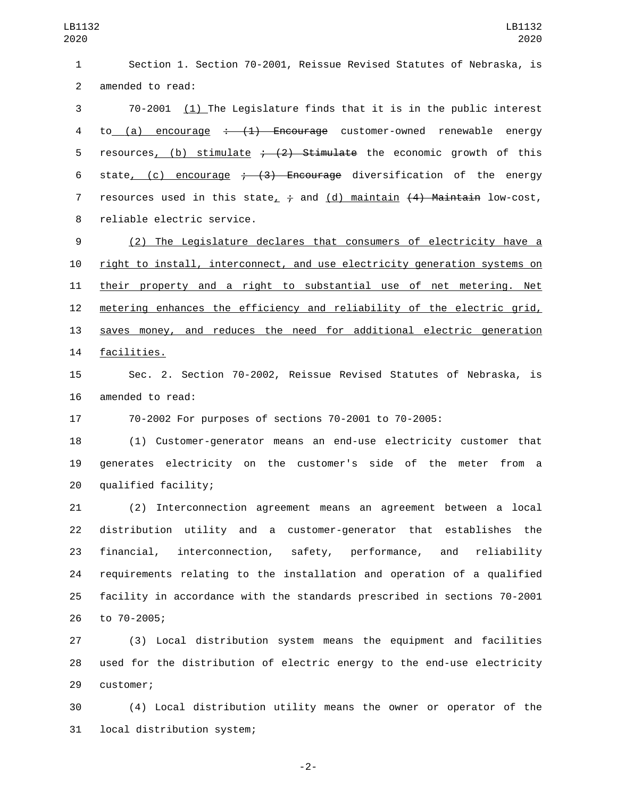1 Section 1. Section 70-2001, Reissue Revised Statutes of Nebraska, is 2 amended to read:

3 70-2001 (1) The Legislature finds that it is in the public interest 4 to (a) encourage  $\div$  (1) Encourage customer-owned renewable energy 5 resources, (b) stimulate  $\div$  (2) Stimulate the economic growth of this 6 state,  $(c)$  encourage  $\div$   $(3)$  Encourage diversification of the energy 7 resources used in this state,  $\div$  and (d) maintain  $(4)$  Maintain low-cost, 8 reliable electric service.

 (2) The Legislature declares that consumers of electricity have a right to install, interconnect, and use electricity generation systems on their property and a right to substantial use of net metering. Net metering enhances the efficiency and reliability of the electric grid, saves money, and reduces the need for additional electric generation 14 facilities.

15 Sec. 2. Section 70-2002, Reissue Revised Statutes of Nebraska, is 16 amended to read:

17 70-2002 For purposes of sections 70-2001 to 70-2005:

18 (1) Customer-generator means an end-use electricity customer that 19 generates electricity on the customer's side of the meter from a qualified facility;20

 (2) Interconnection agreement means an agreement between a local distribution utility and a customer-generator that establishes the financial, interconnection, safety, performance, and reliability requirements relating to the installation and operation of a qualified facility in accordance with the standards prescribed in sections 70-2001 26 to 70-2005;

27 (3) Local distribution system means the equipment and facilities 28 used for the distribution of electric energy to the end-use electricity 29 customer;

30 (4) Local distribution utility means the owner or operator of the 31 local distribution system;

-2-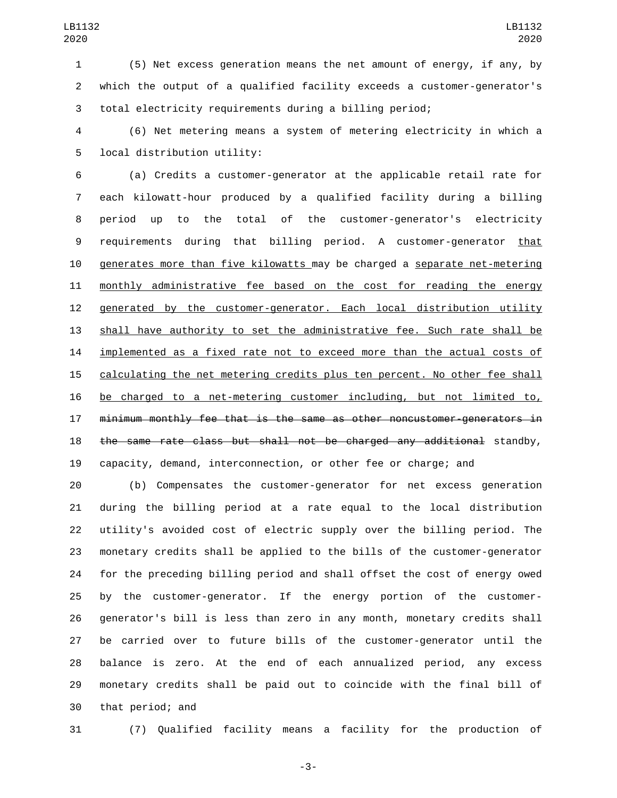(5) Net excess generation means the net amount of energy, if any, by which the output of a qualified facility exceeds a customer-generator's total electricity requirements during a billing period;

 (6) Net metering means a system of metering electricity in which a 5 local distribution utility:

 (a) Credits a customer-generator at the applicable retail rate for each kilowatt-hour produced by a qualified facility during a billing period up to the total of the customer-generator's electricity requirements during that billing period. A customer-generator that generates more than five kilowatts may be charged a separate net-metering monthly administrative fee based on the cost for reading the energy generated by the customer-generator. Each local distribution utility shall have authority to set the administrative fee. Such rate shall be 14 implemented as a fixed rate not to exceed more than the actual costs of calculating the net metering credits plus ten percent. No other fee shall be charged to a net-metering customer including, but not limited to, minimum monthly fee that is the same as other noncustomer-generators in the same rate class but shall not be charged any additional standby, capacity, demand, interconnection, or other fee or charge; and

 (b) Compensates the customer-generator for net excess generation during the billing period at a rate equal to the local distribution utility's avoided cost of electric supply over the billing period. The monetary credits shall be applied to the bills of the customer-generator for the preceding billing period and shall offset the cost of energy owed by the customer-generator. If the energy portion of the customer- generator's bill is less than zero in any month, monetary credits shall be carried over to future bills of the customer-generator until the balance is zero. At the end of each annualized period, any excess monetary credits shall be paid out to coincide with the final bill of 30 that period; and

(7) Qualified facility means a facility for the production of

-3-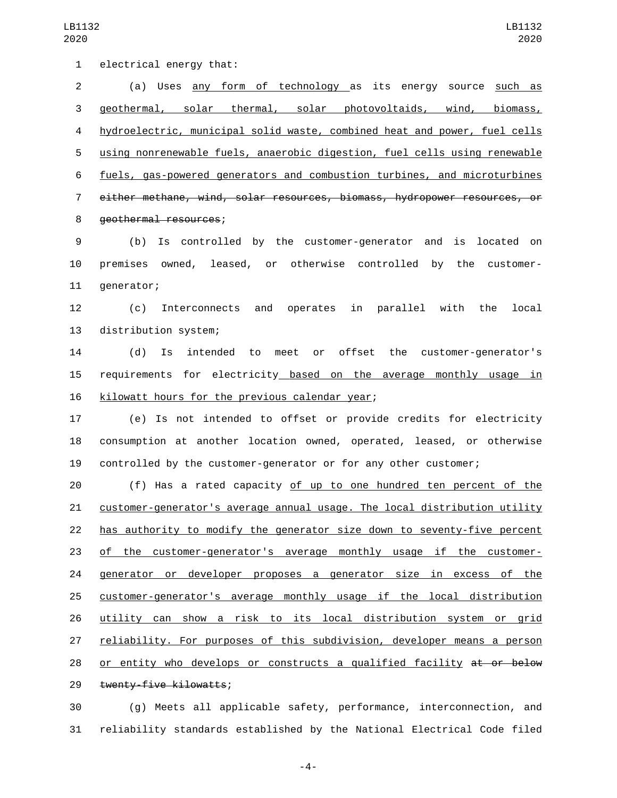1 electrical energy that: (a) Uses any form of technology as its energy source such as geothermal, solar thermal, solar photovoltaids, wind, biomass, hydroelectric, municipal solid waste, combined heat and power, fuel cells using nonrenewable fuels, anaerobic digestion, fuel cells using renewable fuels, gas-powered generators and combustion turbines, and microturbines either methane, wind, solar resources, biomass, hydropower resources, or 8 geothermal resources; (b) Is controlled by the customer-generator and is located on premises owned, leased, or otherwise controlled by the customer-11 generator; (c) Interconnects and operates in parallel with the local 13 distribution system; (d) Is intended to meet or offset the customer-generator's requirements for electricity based on the average monthly usage in 16 kilowatt hours for the previous calendar year; (e) Is not intended to offset or provide credits for electricity consumption at another location owned, operated, leased, or otherwise controlled by the customer-generator or for any other customer; (f) Has a rated capacity of up to one hundred ten percent of the customer-generator's average annual usage. The local distribution utility has authority to modify the generator size down to seventy-five percent of the customer-generator's average monthly usage if the customer-24 generator or developer proposes a generator size in excess of the customer-generator's average monthly usage if the local distribution utility can show a risk to its local distribution system or grid reliability. For purposes of this subdivision, developer means a person 28 or entity who develops or constructs a qualified facility at or below 29 twenty-five kilowatts; (g) Meets all applicable safety, performance, interconnection, and

reliability standards established by the National Electrical Code filed

-4-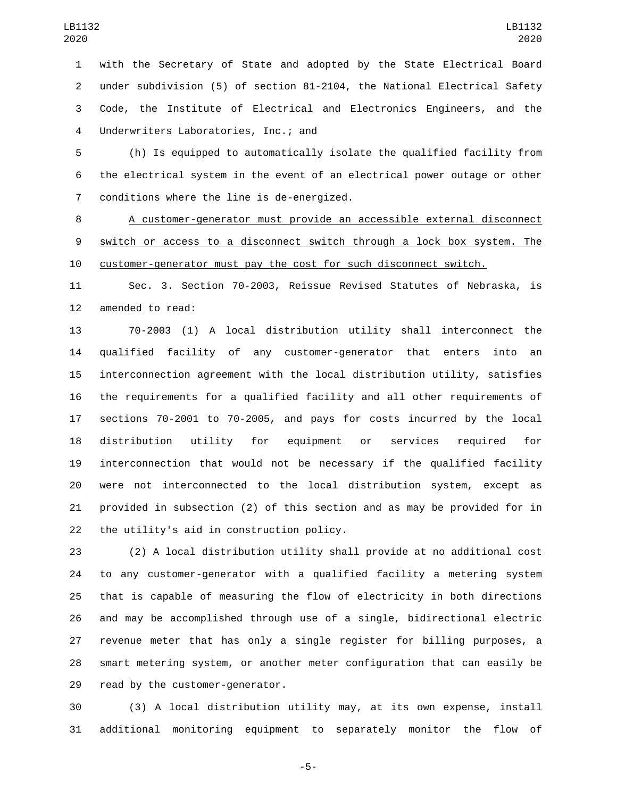with the Secretary of State and adopted by the State Electrical Board under subdivision (5) of section 81-2104, the National Electrical Safety Code, the Institute of Electrical and Electronics Engineers, and the 4 Underwriters Laboratories, Inc.; and

 (h) Is equipped to automatically isolate the qualified facility from the electrical system in the event of an electrical power outage or other conditions where the line is de-energized.7

 A customer-generator must provide an accessible external disconnect switch or access to a disconnect switch through a lock box system. The customer-generator must pay the cost for such disconnect switch.

 Sec. 3. Section 70-2003, Reissue Revised Statutes of Nebraska, is 12 amended to read:

 70-2003 (1) A local distribution utility shall interconnect the qualified facility of any customer-generator that enters into an interconnection agreement with the local distribution utility, satisfies the requirements for a qualified facility and all other requirements of sections 70-2001 to 70-2005, and pays for costs incurred by the local distribution utility for equipment or services required for interconnection that would not be necessary if the qualified facility were not interconnected to the local distribution system, except as provided in subsection (2) of this section and as may be provided for in 22 the utility's aid in construction policy.

 (2) A local distribution utility shall provide at no additional cost to any customer-generator with a qualified facility a metering system that is capable of measuring the flow of electricity in both directions and may be accomplished through use of a single, bidirectional electric revenue meter that has only a single register for billing purposes, a smart metering system, or another meter configuration that can easily be 29 read by the customer-generator.

 (3) A local distribution utility may, at its own expense, install additional monitoring equipment to separately monitor the flow of

-5-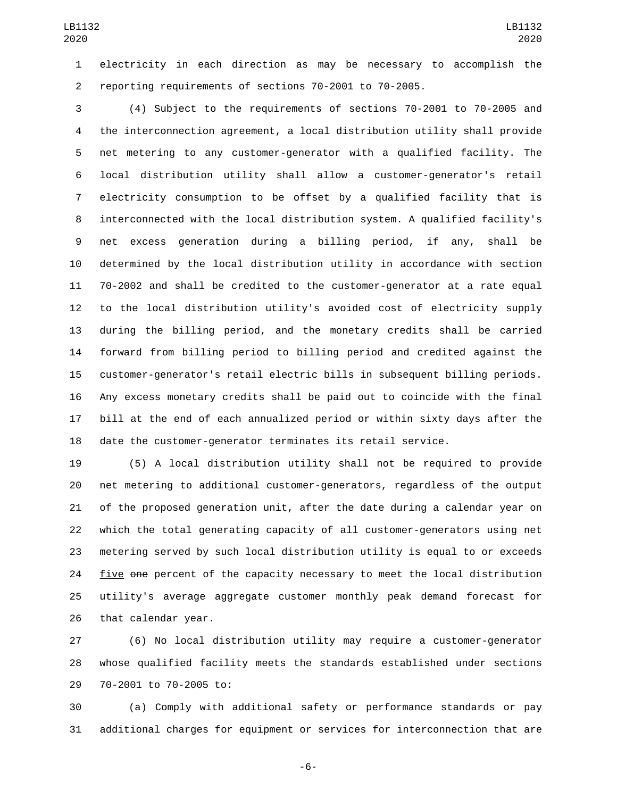electricity in each direction as may be necessary to accomplish the reporting requirements of sections 70-2001 to 70-2005.

 (4) Subject to the requirements of sections 70-2001 to 70-2005 and the interconnection agreement, a local distribution utility shall provide net metering to any customer-generator with a qualified facility. The local distribution utility shall allow a customer-generator's retail electricity consumption to be offset by a qualified facility that is interconnected with the local distribution system. A qualified facility's net excess generation during a billing period, if any, shall be determined by the local distribution utility in accordance with section 70-2002 and shall be credited to the customer-generator at a rate equal to the local distribution utility's avoided cost of electricity supply during the billing period, and the monetary credits shall be carried forward from billing period to billing period and credited against the customer-generator's retail electric bills in subsequent billing periods. Any excess monetary credits shall be paid out to coincide with the final bill at the end of each annualized period or within sixty days after the date the customer-generator terminates its retail service.

 (5) A local distribution utility shall not be required to provide net metering to additional customer-generators, regardless of the output of the proposed generation unit, after the date during a calendar year on which the total generating capacity of all customer-generators using net metering served by such local distribution utility is equal to or exceeds five one percent of the capacity necessary to meet the local distribution utility's average aggregate customer monthly peak demand forecast for 26 that calendar year.

 (6) No local distribution utility may require a customer-generator whose qualified facility meets the standards established under sections 29 70-2001 to 70-2005 to:

 (a) Comply with additional safety or performance standards or pay additional charges for equipment or services for interconnection that are

-6-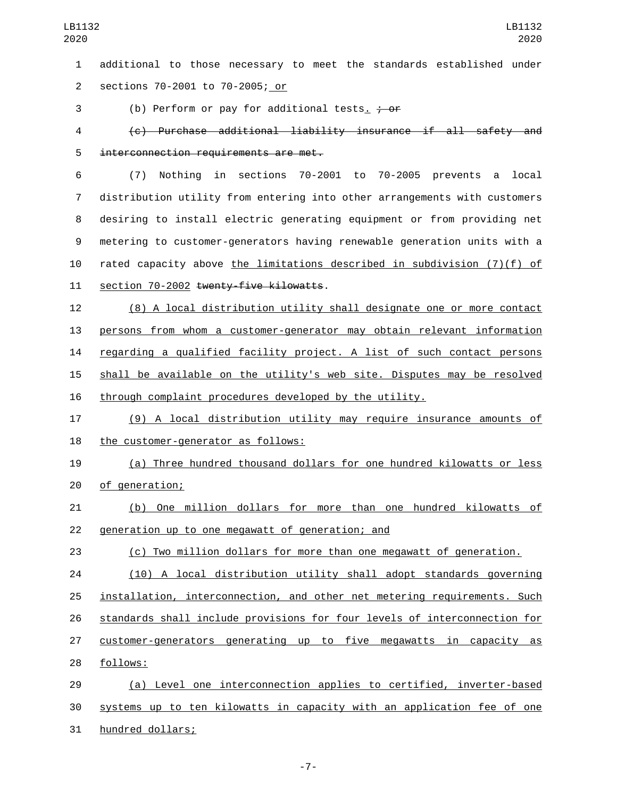additional to those necessary to meet the standards established under sections 70-2001 to 70-2005; or2

3 (b) Perform or pay for additional tests.  $\frac{1}{2}$  or

 (c) Purchase additional liability insurance if all safety and 5 interconnection requirements are met.

 (7) Nothing in sections 70-2001 to 70-2005 prevents a local distribution utility from entering into other arrangements with customers desiring to install electric generating equipment or from providing net metering to customer-generators having renewable generation units with a rated capacity above the limitations described in subdivision (7)(f) of 11 section 70-2002 twenty-five kilowatts.

 (8) A local distribution utility shall designate one or more contact persons from whom a customer-generator may obtain relevant information regarding a qualified facility project. A list of such contact persons shall be available on the utility's web site. Disputes may be resolved through complaint procedures developed by the utility.

 (9) A local distribution utility may require insurance amounts of 18 the customer-generator as follows:

 (a) Three hundred thousand dollars for one hundred kilowatts or less 20 of generation;

 (b) One million dollars for more than one hundred kilowatts of 22 generation up to one megawatt of generation; and

(c) Two million dollars for more than one megawatt of generation.

 (10) A local distribution utility shall adopt standards governing installation, interconnection, and other net metering requirements. Such standards shall include provisions for four levels of interconnection for customer-generators generating up to five megawatts in capacity as follows:28

 (a) Level one interconnection applies to certified, inverter-based systems up to ten kilowatts in capacity with an application fee of one 31 hundred dollars;